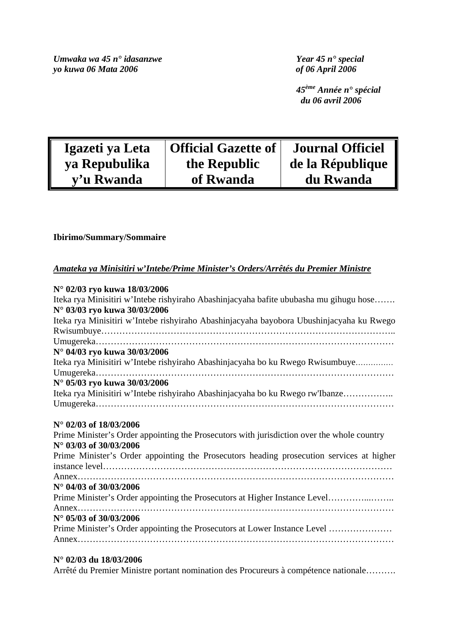*Umwaka wa 45 n*° idasanzwe *Year 45 n*° special *yo kuwa 06 Mata 2006 yo kuwa 06 Mata 2006* 

 *45ème Année n° spécial du 06 avril 2006* 

| Igazeti ya Leta | <b>Official Gazette of</b> | <b>Journal Officiel</b> |
|-----------------|----------------------------|-------------------------|
| ya Repubulika   | the Republic               | de la République        |
| y'u Rwanda      | of Rwanda                  | du Rwanda               |

# **Ibirimo/Summary/Sommaire**

# *Amateka ya Minisitiri w'Intebe/Prime Minister's Orders/Arrêtés du Premier Ministre*

| N° 02/03 ryo kuwa 18/03/2006                                                               |
|--------------------------------------------------------------------------------------------|
| Iteka rya Minisitiri w'Intebe rishyiraho Abashinjacyaha bafite ububasha mu gihugu hose     |
| N° 03/03 ryo kuwa 30/03/2006                                                               |
| Iteka rya Minisitiri w'Intebe rishyiraho Abashinjacyaha bayobora Ubushinjacyaha ku Rwego   |
|                                                                                            |
|                                                                                            |
| N° 04/03 ryo kuwa 30/03/2006                                                               |
| Iteka rya Minisitiri w'Intebe rishyiraho Abashinjacyaha bo ku Rwego Rwisumbuye             |
|                                                                                            |
| N° 05/03 ryo kuwa 30/03/2006                                                               |
| Iteka rya Minisitiri w'Intebe rishyiraho Abashinjacyaha bo ku Rwego rw'Ibanze              |
|                                                                                            |
|                                                                                            |
| N° 02/03 of 18/03/2006                                                                     |
| Prime Minister's Order appointing the Prosecutors with jurisdiction over the whole country |
| N° 03/03 of 30/03/2006                                                                     |
| Prime Minister's Order appointing the Prosecutors heading prosecution services at higher   |
|                                                                                            |
|                                                                                            |
| $N^{\circ}$ 04/03 of 30/03/2006                                                            |
| Prime Minister's Order appointing the Prosecutors at Higher Instance Level                 |
|                                                                                            |
| N° 05/03 of 30/03/2006                                                                     |
| Prime Minister's Order appointing the Prosecutors at Lower Instance Level                  |
|                                                                                            |
|                                                                                            |

# **N° 02/03 du 18/03/2006**

Arrêté du Premier Ministre portant nomination des Procureurs à compétence nationale……….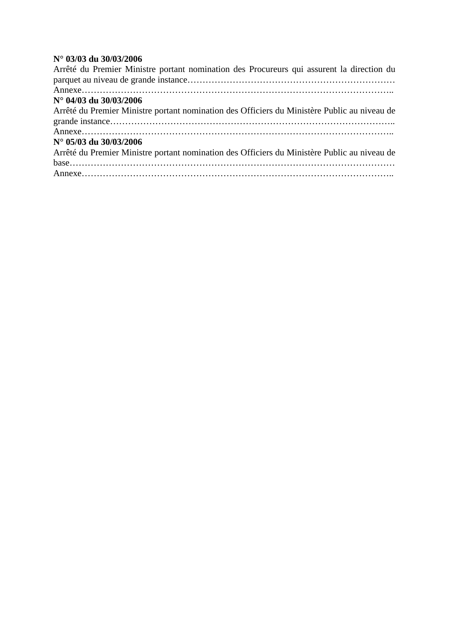# **N° 03/03 du 30/03/2006**

| Arrêté du Premier Ministre portant nomination des Procureurs qui assurent la direction du    |
|----------------------------------------------------------------------------------------------|
|                                                                                              |
|                                                                                              |
|                                                                                              |
| Arrêté du Premier Ministre portant nomination des Officiers du Ministère Public au niveau de |
|                                                                                              |
|                                                                                              |
| Arrêté du Premier Ministre portant nomination des Officiers du Ministère Public au niveau de |
|                                                                                              |
|                                                                                              |
|                                                                                              |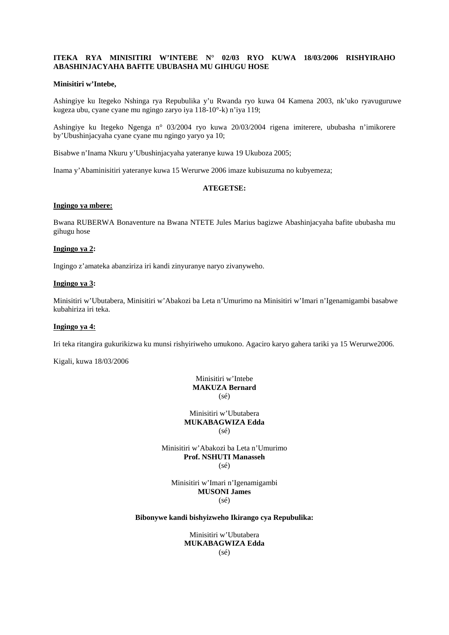# **ITEKA RYA MINISITIRI W'INTEBE N° 02/03 RYO KUWA 18/03/2006 RISHYIRAHO ABASHINJACYAHA BAFITE UBUBASHA MU GIHUGU HOSE**

## **Minisitiri w'Intebe,**

Ashingiye ku Itegeko Nshinga rya Repubulika y'u Rwanda ryo kuwa 04 Kamena 2003, nk'uko ryavuguruwe kugeza ubu, cyane cyane mu ngingo zaryo iya 118-10°-k) n'iya 119;

Ashingiye ku Itegeko Ngenga n° 03/2004 ryo kuwa 20/03/2004 rigena imiterere, ububasha n'imikorere by'Ubushinjacyaha cyane cyane mu ngingo yaryo ya 10;

Bisabwe n'Inama Nkuru y'Ubushinjacyaha yateranye kuwa 19 Ukuboza 2005;

Inama y'Abaminisitiri yateranye kuwa 15 Werurwe 2006 imaze kubisuzuma no kubyemeza;

## **ATEGETSE:**

## **Ingingo ya mbere:**

Bwana RUBERWA Bonaventure na Bwana NTETE Jules Marius bagizwe Abashinjacyaha bafite ububasha mu gihugu hose

#### **Ingingo ya 2:**

Ingingo z'amateka abanziriza iri kandi zinyuranye naryo zivanyweho.

## **Ingingo ya 3:**

Minisitiri w'Ubutabera, Minisitiri w'Abakozi ba Leta n'Umurimo na Minisitiri w'Imari n'Igenamigambi basabwe kubahiriza iri teka.

## **Ingingo ya 4:**

Iri teka ritangira gukurikizwa ku munsi rishyiriweho umukono. Agaciro karyo gahera tariki ya 15 Werurwe2006.

Kigali, kuwa 18/03/2006

Minisitiri w'Intebe **MAKUZA Bernard**   $(sé)$ 

Minisitiri w'Ubutabera **MUKABAGWIZA Edda**   $(s\acute{e})$ 

Minisitiri w'Abakozi ba Leta n'Umurimo **Prof. NSHUTI Manasseh**  (sé)

Minisitiri w'Imari n'Igenamigambi **MUSONI James**  (sé)

#### **Bibonywe kandi bishyizweho Ikirango cya Repubulika:**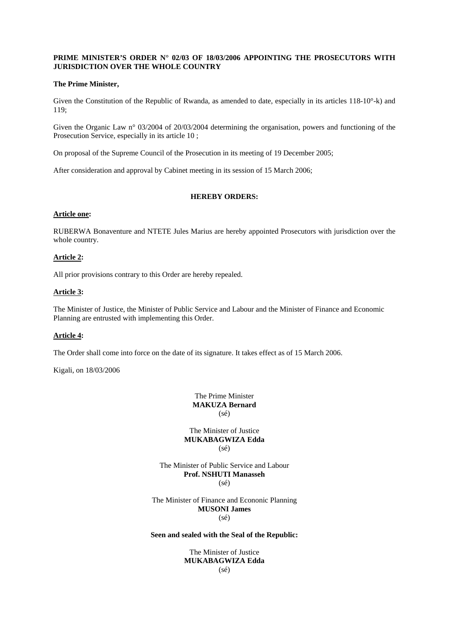# **PRIME MINISTER'S ORDER N° 02/03 OF 18/03/2006 APPOINTING THE PROSECUTORS WITH JURISDICTION OVER THE WHOLE COUNTRY**

## **The Prime Minister,**

Given the Constitution of the Republic of Rwanda, as amended to date, especially in its articles 118-10°-k) and 119;

Given the Organic Law n° 03/2004 of 20/03/2004 determining the organisation, powers and functioning of the Prosecution Service, especially in its article 10 ;

On proposal of the Supreme Council of the Prosecution in its meeting of 19 December 2005;

After consideration and approval by Cabinet meeting in its session of 15 March 2006;

# **HEREBY ORDERS:**

## **Article one:**

RUBERWA Bonaventure and NTETE Jules Marius are hereby appointed Prosecutors with jurisdiction over the whole country.

# **Article 2:**

All prior provisions contrary to this Order are hereby repealed.

# **Article 3:**

The Minister of Justice, the Minister of Public Service and Labour and the Minister of Finance and Economic Planning are entrusted with implementing this Order.

# **Article 4:**

The Order shall come into force on the date of its signature. It takes effect as of 15 March 2006.

Kigali, on 18/03/2006

The Prime Minister **MAKUZA Bernard**   $(sé)$ 

The Minister of Justice **MUKABAGWIZA Edda**   $(s\acute{e})$ 

The Minister of Public Service and Labour **Prof. NSHUTI Manasseh**   $(sé)$ 

The Minister of Finance and Econonic Planning **MUSONI James** 

(sé)

# **Seen and sealed with the Seal of the Republic:**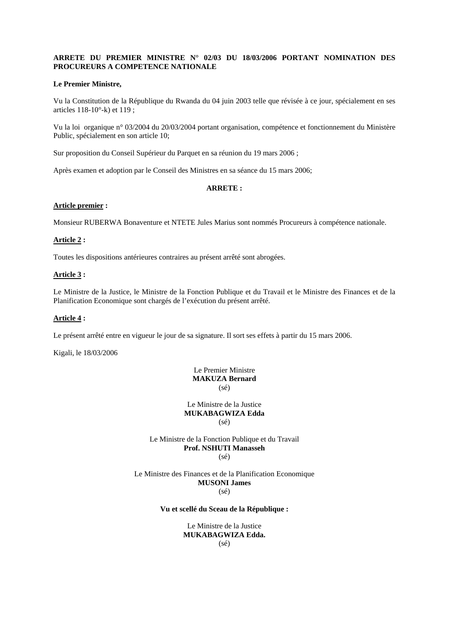# **ARRETE DU PREMIER MINISTRE N° 02/03 DU 18/03/2006 PORTANT NOMINATION DES PROCUREURS A COMPETENCE NATIONALE**

## **Le Premier Ministre,**

Vu la Constitution de la République du Rwanda du 04 juin 2003 telle que révisée à ce jour, spécialement en ses articles 118-10°-k) et 119 ;

Vu la loi organique n° 03/2004 du 20/03/2004 portant organisation, compétence et fonctionnement du Ministère Public, spécialement en son article 10;

Sur proposition du Conseil Supérieur du Parquet en sa réunion du 19 mars 2006 ;

Après examen et adoption par le Conseil des Ministres en sa séance du 15 mars 2006;

#### **ARRETE :**

## **Article premier :**

Monsieur RUBERWA Bonaventure et NTETE Jules Marius sont nommés Procureurs à compétence nationale.

## **Article 2 :**

Toutes les dispositions antérieures contraires au présent arrêté sont abrogées.

#### **Article 3 :**

Le Ministre de la Justice, le Ministre de la Fonction Publique et du Travail et le Ministre des Finances et de la Planification Economique sont chargés de l'exécution du présent arrêté.

## **Article 4 :**

Le présent arrêté entre en vigueur le jour de sa signature. Il sort ses effets à partir du 15 mars 2006.

Kigali, le 18/03/2006

# Le Premier Ministre **MAKUZA Bernard**  (sé)

Le Ministre de la Justice **MUKABAGWIZA Edda**  (sé)

#### Le Ministre de la Fonction Publique et du Travail **Prof. NSHUTI Manasseh**  (sé)

Le Ministre des Finances et de la Planification Economique **MUSONI James**  (sé)

## **Vu et scellé du Sceau de la République :**

Le Ministre de la Justice **MUKABAGWIZA Edda.**  (sé)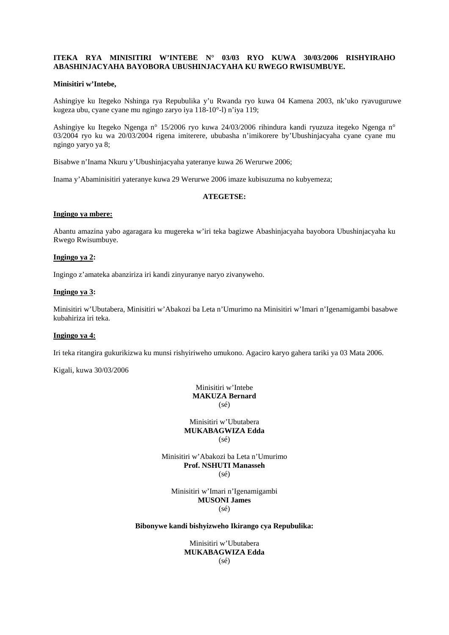# **ITEKA RYA MINISITIRI W'INTEBE N° 03/03 RYO KUWA 30/03/2006 RISHYIRAHO ABASHINJACYAHA BAYOBORA UBUSHINJACYAHA KU RWEGO RWISUMBUYE.**

## **Minisitiri w'Intebe,**

Ashingiye ku Itegeko Nshinga rya Repubulika y'u Rwanda ryo kuwa 04 Kamena 2003, nk'uko ryavuguruwe kugeza ubu, cyane cyane mu ngingo zaryo iya 118-10°-l) n'iya 119;

Ashingiye ku Itegeko Ngenga n° 15/2006 ryo kuwa 24/03/2006 rihindura kandi ryuzuza itegeko Ngenga n° 03/2004 ryo ku wa 20/03/2004 rigena imiterere, ububasha n'imikorere by'Ubushinjacyaha cyane cyane mu ngingo yaryo ya 8;

Bisabwe n'Inama Nkuru y'Ubushinjacyaha yateranye kuwa 26 Werurwe 2006;

Inama y'Abaminisitiri yateranye kuwa 29 Werurwe 2006 imaze kubisuzuma no kubyemeza;

## **ATEGETSE:**

# **Ingingo ya mbere:**

Abantu amazina yabo agaragara ku mugereka w'iri teka bagizwe Abashinjacyaha bayobora Ubushinjacyaha ku Rwego Rwisumbuye.

#### **Ingingo ya 2:**

Ingingo z'amateka abanziriza iri kandi zinyuranye naryo zivanyweho.

## **Ingingo ya 3:**

Minisitiri w'Ubutabera, Minisitiri w'Abakozi ba Leta n'Umurimo na Minisitiri w'Imari n'Igenamigambi basabwe kubahiriza iri teka.

#### **Ingingo ya 4:**

Iri teka ritangira gukurikizwa ku munsi rishyiriweho umukono. Agaciro karyo gahera tariki ya 03 Mata 2006.

Kigali, kuwa 30/03/2006

Minisitiri w'Intebe **MAKUZA Bernard**  (sé)

Minisitiri w'Ubutabera **MUKABAGWIZA Edda**  (sé)

Minisitiri w'Abakozi ba Leta n'Umurimo **Prof. NSHUTI Manasseh**   $(sé)$ 

Minisitiri w'Imari n'Igenamigambi **MUSONI James**   $(s<sub>ef</sub>)$ 

#### **Bibonywe kandi bishyizweho Ikirango cya Repubulika:**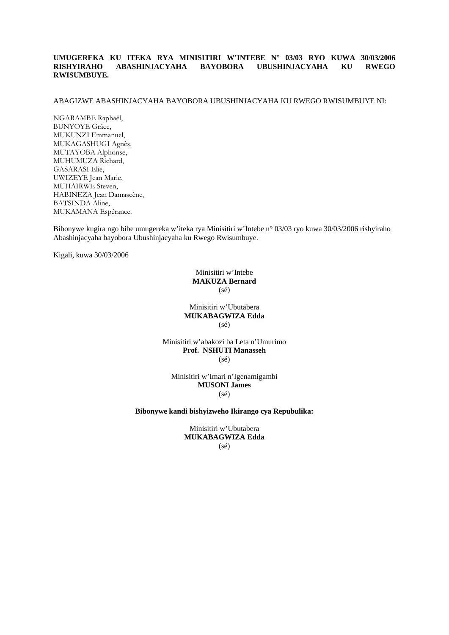# **UMUGEREKA KU ITEKA RYA MINISITIRI W'INTEBE N° 03/03 RYO KUWA 30/03/2006 RISHYIRAHO ABASHINJACYAHA BAYOBORA UBUSHINJACYAHA KU RWEGO RWISUMBUYE.**

#### ABAGIZWE ABASHINJACYAHA BAYOBORA UBUSHINJACYAHA KU RWEGO RWISUMBUYE NI:

NGARAMBE Raphaël, BUNYOYE Grâce, MUKUNZI Emmanuel, MUKAGASHUGI Agnès, MUTAYOBA Alphonse, MUHUMUZA Richard, GASARASI Elie, UWIZEYE Jean Marie, MUHAIRWE Steven, HABINEZA Jean Damascène, BATSINDA Aline, MUKAMANA Espérance.

Bibonywe kugira ngo bibe umugereka w'iteka rya Minisitiri w'Intebe n° 03/03 ryo kuwa 30/03/2006 rishyiraho Abashinjacyaha bayobora Ubushinjacyaha ku Rwego Rwisumbuye.

Kigali, kuwa 30/03/2006

Minisitiri w'Intebe **MAKUZA Bernard**  (sé)

Minisitiri w'Ubutabera **MUKABAGWIZA Edda**   $(s\acute{e})$ 

Minisitiri w'abakozi ba Leta n'Umurimo **Prof. NSHUTI Manasseh**  (sé)

Minisitiri w'Imari n'Igenamigambi **MUSONI James**  (sé)

**Bibonywe kandi bishyizweho Ikirango cya Repubulika:**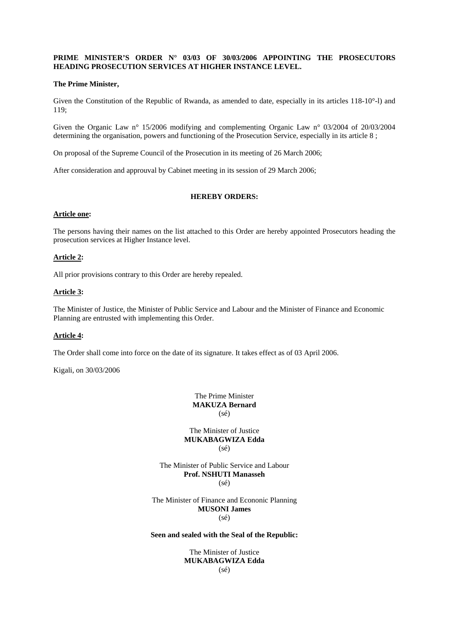# **PRIME MINISTER'S ORDER N° 03/03 OF 30/03/2006 APPOINTING THE PROSECUTORS HEADING PROSECUTION SERVICES AT HIGHER INSTANCE LEVEL.**

## **The Prime Minister,**

Given the Constitution of the Republic of Rwanda, as amended to date, especially in its articles 118-10°-l) and 119;

Given the Organic Law n° 15/2006 modifying and complementing Organic Law n° 03/2004 of 20/03/2004 determining the organisation, powers and functioning of the Prosecution Service, especially in its article 8 ;

On proposal of the Supreme Council of the Prosecution in its meeting of 26 March 2006;

After consideration and approuval by Cabinet meeting in its session of 29 March 2006;

# **HEREBY ORDERS:**

#### **Article one:**

The persons having their names on the list attached to this Order are hereby appointed Prosecutors heading the prosecution services at Higher Instance level.

#### **Article 2:**

All prior provisions contrary to this Order are hereby repealed.

## **Article 3:**

The Minister of Justice, the Minister of Public Service and Labour and the Minister of Finance and Economic Planning are entrusted with implementing this Order.

#### **Article 4:**

The Order shall come into force on the date of its signature. It takes effect as of 03 April 2006.

Kigali, on 30/03/2006

The Prime Minister **MAKUZA Bernard**   $(sé)$ 

The Minister of Justice **MUKABAGWIZA Edda**   $(s\acute{e})$ 

The Minister of Public Service and Labour **Prof. NSHUTI Manasseh**   $(sé)$ 

The Minister of Finance and Econonic Planning **MUSONI James**  (sé)

# **Seen and sealed with the Seal of the Republic:**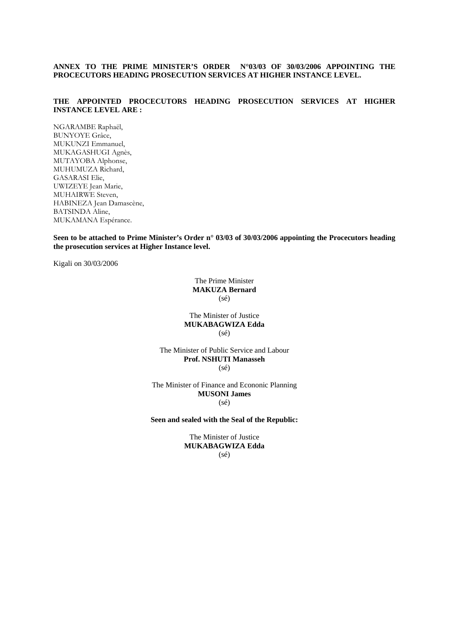**ANNEX TO THE PRIME MINISTER'S ORDER N°03/03 OF 30/03/2006 APPOINTING THE PROCECUTORS HEADING PROSECUTION SERVICES AT HIGHER INSTANCE LEVEL.** 

# **THE APPOINTED PROCECUTORS HEADING PROSECUTION SERVICES AT HIGHER INSTANCE LEVEL ARE :**

NGARAMBE Raphaël, BUNYOYE Grâce, MUKUNZI Emmanuel, MUKAGASHUGI Agnès, MUTAYOBA Alphonse, MUHUMUZA Richard, GASARASI Elie, UWIZEYE Jean Marie, MUHAIRWE Steven, HABINEZA Jean Damascène, BATSINDA Aline, MUKAMANA Espérance.

**Seen to be attached to Prime Minister's Order n° 03/03 of 30/03/2006 appointing the Procecutors heading the prosecution services at Higher Instance level.** 

Kigali on 30/03/2006

The Prime Minister **MAKUZA Bernard**   $(s\acute{e})$ 

The Minister of Justice **MUKABAGWIZA Edda**  (sé)

The Minister of Public Service and Labour **Prof. NSHUTI Manasseh**  (sé)

The Minister of Finance and Econonic Planning **MUSONI James**  (sé)

**Seen and sealed with the Seal of the Republic:**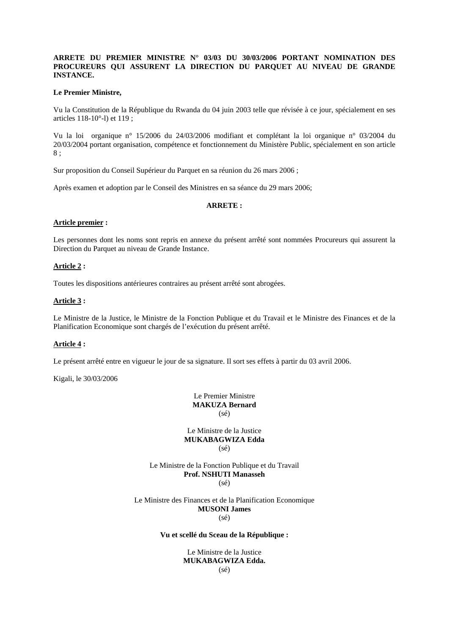# **ARRETE DU PREMIER MINISTRE N° 03/03 DU 30/03/2006 PORTANT NOMINATION DES PROCUREURS QUI ASSURENT LA DIRECTION DU PARQUET AU NIVEAU DE GRANDE INSTANCE.**

#### **Le Premier Ministre,**

Vu la Constitution de la République du Rwanda du 04 juin 2003 telle que révisée à ce jour, spécialement en ses articles 118-10°-l) et 119 ;

Vu la loi organique n° 15/2006 du 24/03/2006 modifiant et complétant la loi organique n° 03/2004 du 20/03/2004 portant organisation, compétence et fonctionnement du Ministère Public, spécialement en son article 8 ;

Sur proposition du Conseil Supérieur du Parquet en sa réunion du 26 mars 2006 ;

Après examen et adoption par le Conseil des Ministres en sa séance du 29 mars 2006;

## **ARRETE :**

#### **Article premier :**

Les personnes dont les noms sont repris en annexe du présent arrêté sont nommées Procureurs qui assurent la Direction du Parquet au niveau de Grande Instance.

#### **Article 2 :**

Toutes les dispositions antérieures contraires au présent arrêté sont abrogées.

#### **Article 3 :**

Le Ministre de la Justice, le Ministre de la Fonction Publique et du Travail et le Ministre des Finances et de la Planification Economique sont chargés de l'exécution du présent arrêté.

#### **Article 4 :**

Le présent arrêté entre en vigueur le jour de sa signature. Il sort ses effets à partir du 03 avril 2006.

Kigali, le 30/03/2006

Le Premier Ministre **MAKUZA Bernard**   $(sé)$ 

Le Ministre de la Justice **MUKABAGWIZA Edda**   $(s\acute{e})$ 

Le Ministre de la Fonction Publique et du Travail **Prof. NSHUTI Manasseh**   $(sé)$ 

Le Ministre des Finances et de la Planification Economique **MUSONI James** 

(sé)

#### **Vu et scellé du Sceau de la République :**

Le Ministre de la Justice **MUKABAGWIZA Edda.**  (sé)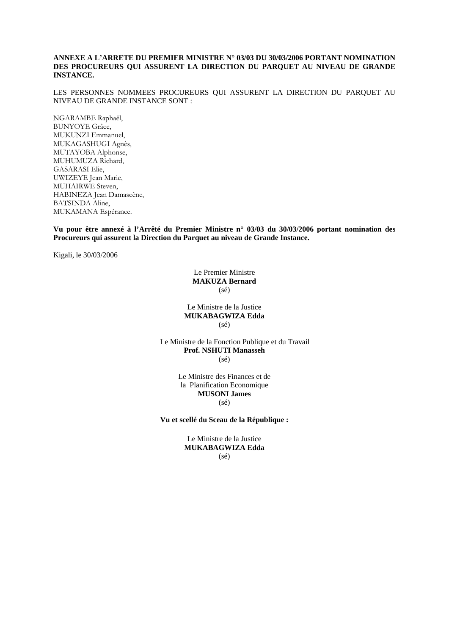# **ANNEXE A L'ARRETE DU PREMIER MINISTRE N° 03/03 DU 30/03/2006 PORTANT NOMINATION DES PROCUREURS QUI ASSURENT LA DIRECTION DU PARQUET AU NIVEAU DE GRANDE INSTANCE.**

LES PERSONNES NOMMEES PROCUREURS QUI ASSURENT LA DIRECTION DU PARQUET AU NIVEAU DE GRANDE INSTANCE SONT :

NGARAMBE Raphaël, BUNYOYE Grâce, MUKUNZI Emmanuel, MUKAGASHUGI Agnès, MUTAYOBA Alphonse, MUHUMUZA Richard, GASARASI Elie, UWIZEYE Jean Marie, MUHAIRWE Steven, HABINEZA Jean Damascène, BATSINDA Aline, MUKAMANA Espérance.

**Vu pour être annexé à l'Arrêté du Premier Ministre n° 03/03 du 30/03/2006 portant nomination des Procureurs qui assurent la Direction du Parquet au niveau de Grande Instance.** 

Kigali, le 30/03/2006

Le Premier Ministre **MAKUZA Bernard**  (sé)

Le Ministre de la Justice **MUKABAGWIZA Edda**   $(s\acute{e})$ 

Le Ministre de la Fonction Publique et du Travail **Prof. NSHUTI Manasseh**  (sé)

> Le Ministre des Finances et de la Planification Economique **MUSONI James**  (sé)

**Vu et scellé du Sceau de la République :** 

Le Ministre de la Justice **MUKABAGWIZA Edda**  (sé)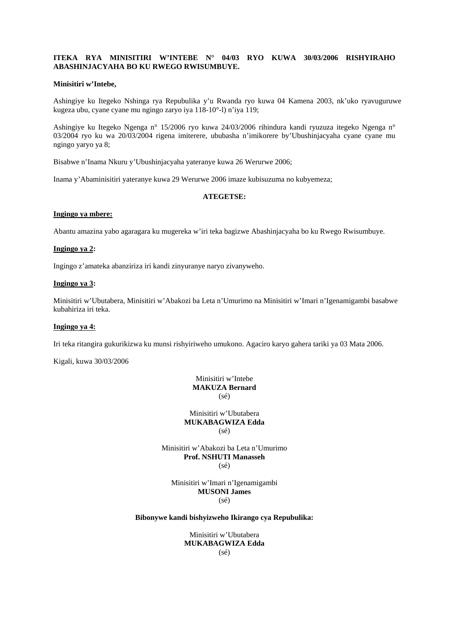# **ITEKA RYA MINISITIRI W'INTEBE N° 04/03 RYO KUWA 30/03/2006 RISHYIRAHO ABASHINJACYAHA BO KU RWEGO RWISUMBUYE.**

## **Minisitiri w'Intebe,**

Ashingiye ku Itegeko Nshinga rya Repubulika y'u Rwanda ryo kuwa 04 Kamena 2003, nk'uko ryavuguruwe kugeza ubu, cyane cyane mu ngingo zaryo iya 118-10°-l) n'iya 119;

Ashingiye ku Itegeko Ngenga n° 15/2006 ryo kuwa 24/03/2006 rihindura kandi ryuzuza itegeko Ngenga n° 03/2004 ryo ku wa 20/03/2004 rigena imiterere, ububasha n'imikorere by'Ubushinjacyaha cyane cyane mu ngingo yaryo ya 8;

Bisabwe n'Inama Nkuru y'Ubushinjacyaha yateranye kuwa 26 Werurwe 2006;

Inama y'Abaminisitiri yateranye kuwa 29 Werurwe 2006 imaze kubisuzuma no kubyemeza;

## **ATEGETSE:**

# **Ingingo ya mbere:**

Abantu amazina yabo agaragara ku mugereka w'iri teka bagizwe Abashinjacyaha bo ku Rwego Rwisumbuye.

#### **Ingingo ya 2:**

Ingingo z'amateka abanziriza iri kandi zinyuranye naryo zivanyweho.

# **Ingingo ya 3:**

Minisitiri w'Ubutabera, Minisitiri w'Abakozi ba Leta n'Umurimo na Minisitiri w'Imari n'Igenamigambi basabwe kubahiriza iri teka.

## **Ingingo ya 4:**

Iri teka ritangira gukurikizwa ku munsi rishyiriweho umukono. Agaciro karyo gahera tariki ya 03 Mata 2006.

Kigali, kuwa 30/03/2006

Minisitiri w'Intebe **MAKUZA Bernard**   $(sé)$ 

Minisitiri w'Ubutabera **MUKABAGWIZA Edda**   $(s\acute{e})$ 

Minisitiri w'Abakozi ba Leta n'Umurimo **Prof. NSHUTI Manasseh**  (sé)

Minisitiri w'Imari n'Igenamigambi **MUSONI James**  (sé)

## **Bibonywe kandi bishyizweho Ikirango cya Repubulika:**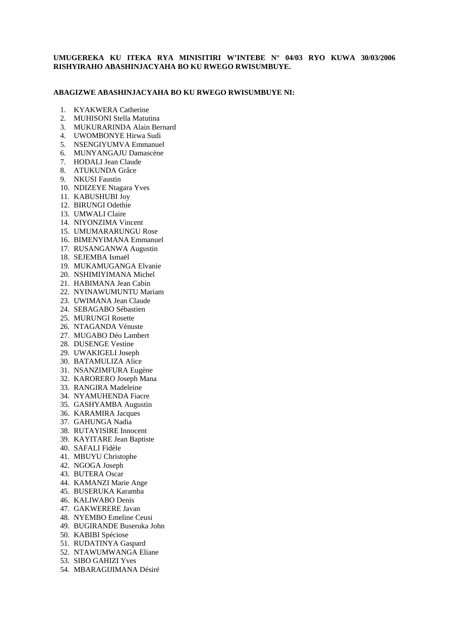# **UMUGEREKA KU ITEKA RYA MINISITIRI W'INTEBE N° 04/03 RYO KUWA 30/03/2006 RISHYIRAHO ABASHINJACYAHA BO KU RWEGO RWISUMBUYE.**

## **ABAGIZWE ABASHINJACYAHA BO KU RWEGO RWISUMBUYE NI:**

- 1. KYAKWERA Catherine
- 2. MUHISONI Stella Matutina
- 3. MUKURARINDA Alain Bernard
- 4. UWOMBONYE Hirwa Sudi
- 5. NSENGIYUMVA Emmanuel
- 6. MUNYANGAJU Damascène
- 7. HODALI Jean Claude
- 8. ATUKUNDA Grâce
- 9. NKUSI Faustin
- 10. NDIZEYE Ntagara Yves
- 11. KABUSHUBI Joy
- 12. BIRUNGI Odethie
- 13. UMWALI Claire
- 14. NIYONZIMA Vincent
- 15. UMUMARARUNGU Rose
- 16. BIMENYIMANA Emmanuel
- 17. RUSANGANWA Augustin
- 18. SEJEMBA Ismaël
- 19. MUKAMUGANGA Elvanie
- 20. NSHIMIYIMANA Michel
- 21. HABIMANA Jean Cabin
- 22. NYINAWUMUNTU Mariam
- 23. UWIMANA Jean Claude
- 24. SEBAGABO Sébastien
- 25. MURUNGI Rosette
- 26. NTAGANDA Vénuste
- 27. MUGABO Déo Lambert
- 28. DUSENGE Vestine
- 29. UWAKIGELI Joseph
- 30. BATAMULIZA Alice
- 31. NSANZIMFURA Eugène
- 32. KARORERO Joseph Mana
- 33. RANGIRA Madeleine
- 34. NYAMUHENDA Fiacre
- 35. GASHYAMBA Augustin
- 36. KARAMIRA Jacques
- 37. GAHUNGA Nadia
- 38. RUTAYISIRE Innocent
- 39. KAYITARE Jean Baptiste
- 40. SAFALI Fidèle
- 41. MBUYU Christophe
- 42. NGOGA Joseph
- 43. BUTERA Oscar
- 44. KAMANZI Marie Ange
- 45. BUSERUKA Karamba
- 46. KALIWABO Denis
- 47. GAKWERERE Javan
- 48. NYEMBO Emeline Ceusi
- 49. BUGIRANDE Buseruka John
- 50. KABIBI Spéciose
- 51. RUDATINYA Gaspard
- 52. NTAWUMWANGA Eliane
- 53. SIBO GAHIZI Yves
- 54. MBARAGIJIMANA Désiré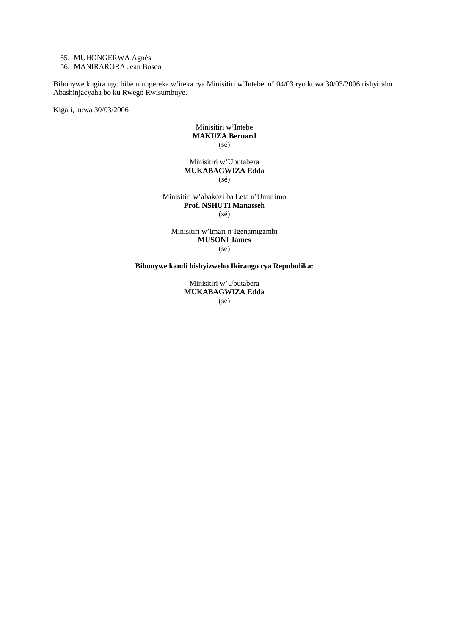# 55. MUHONGERWA Agnès

56. MANIRARORA Jean Bosco

Bibonywe kugira ngo bibe umugereka w'iteka rya Minisitiri w'Intebe n° 04/03 ryo kuwa 30/03/2006 rishyiraho Abashinjacyaha bo ku Rwego Rwisumbuye.

Kigali, kuwa 30/03/2006

Minisitiri w'Intebe **MAKUZA Bernard**  (sé)

Minisitiri w'Ubutabera **MUKABAGWIZA Edda**   $(sé)$ 

Minisitiri w'abakozi ba Leta n'Umurimo **Prof. NSHUTI Manasseh**  (sé)

Minisitiri w'Imari n'Igenamigambi **MUSONI James**  (sé)

**Bibonywe kandi bishyizweho Ikirango cya Repubulika:**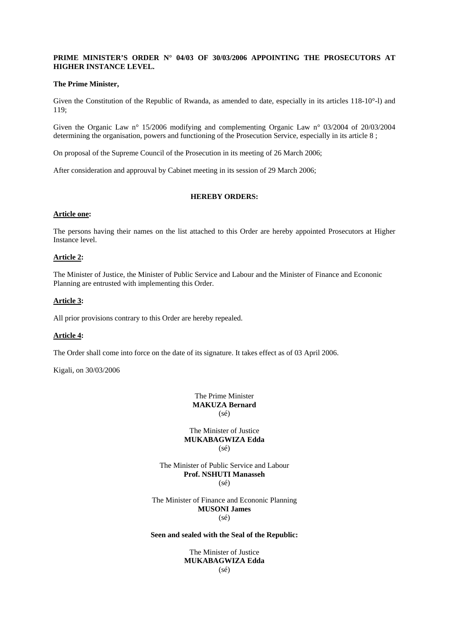# **PRIME MINISTER'S ORDER N° 04/03 OF 30/03/2006 APPOINTING THE PROSECUTORS AT HIGHER INSTANCE LEVEL.**

## **The Prime Minister,**

Given the Constitution of the Republic of Rwanda, as amended to date, especially in its articles 118-10°-l) and 119;

Given the Organic Law n° 15/2006 modifying and complementing Organic Law n° 03/2004 of 20/03/2004 determining the organisation, powers and functioning of the Prosecution Service, especially in its article 8 ;

On proposal of the Supreme Council of the Prosecution in its meeting of 26 March 2006;

After consideration and approuval by Cabinet meeting in its session of 29 March 2006;

# **HEREBY ORDERS:**

#### **Article one:**

The persons having their names on the list attached to this Order are hereby appointed Prosecutors at Higher Instance level.

# **Article 2:**

The Minister of Justice, the Minister of Public Service and Labour and the Minister of Finance and Econonic Planning are entrusted with implementing this Order.

## **Article 3:**

All prior provisions contrary to this Order are hereby repealed.

#### **Article 4:**

The Order shall come into force on the date of its signature. It takes effect as of 03 April 2006.

Kigali, on 30/03/2006

The Prime Minister **MAKUZA Bernard**   $(sé)$ 

The Minister of Justice **MUKABAGWIZA Edda**   $(s\acute{e})$ 

The Minister of Public Service and Labour **Prof. NSHUTI Manasseh**   $(sé)$ 

The Minister of Finance and Econonic Planning **MUSONI James**  (sé)

# **Seen and sealed with the Seal of the Republic:**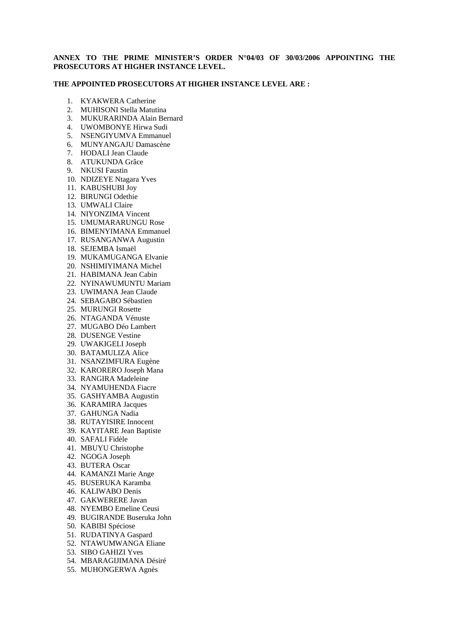# **ANNEX TO THE PRIME MINISTER'S ORDER N°04/03 OF 30/03/2006 APPOINTING THE PROSECUTORS AT HIGHER INSTANCE LEVEL.**

## **THE APPOINTED PROSECUTORS AT HIGHER INSTANCE LEVEL ARE :**

- 1. KYAKWERA Catherine
- 2. MUHISONI Stella Matutina
- 3. MUKURARINDA Alain Bernard
- 4. UWOMBONYE Hirwa Sudi
- 5. NSENGIYUMVA Emmanuel
- 6. MUNYANGAJU Damascène
- 7. HODALI Jean Claude
- 8. ATUKUNDA Grâce
- 9. NKUSI Faustin
- 10. NDIZEYE Ntagara Yves
- 11. KABUSHUBI Joy
- 12. BIRUNGI Odethie
- 13. UMWALI Claire
- 14. NIYONZIMA Vincent
- 15. UMUMARARUNGU Rose
- 16. BIMENYIMANA Emmanuel
- 17. RUSANGANWA Augustin
- 18. SEJEMBA Ismaël
- 19. MUKAMUGANGA Elvanie
- 20. NSHIMIYIMANA Michel
- 21. HABIMANA Jean Cabin
- 22. NYINAWUMUNTU Mariam
- 23. UWIMANA Jean Claude
- 24. SEBAGABO Sébastien
- 25. MURUNGI Rosette
- 26. NTAGANDA Vénuste
- 27. MUGABO Déo Lambert
- 28. DUSENGE Vestine
- 29. UWAKIGELI Joseph
- 30. BATAMULIZA Alice
- 31. NSANZIMFURA Eugène
- 32. KARORERO Joseph Mana
- 33. RANGIRA Madeleine
- 34. NYAMUHENDA Fiacre
- 35. GASHYAMBA Augustin
- 36. KARAMIRA Jacques
- 37. GAHUNGA Nadia
- 38. RUTAYISIRE Innocent
- 39. KAYITARE Jean Baptiste
- 40. SAFALI Fidèle
- 41. MBUYU Christophe
- 42. NGOGA Joseph
- 43. BUTERA Oscar
- 44. KAMANZI Marie Ange
- 45. BUSERUKA Karamba
- 46. KALIWABO Denis
- 47. GAKWERERE Javan
- 48. NYEMBO Emeline Ceusi
- 49. BUGIRANDE Buseruka John
- 50. KABIBI Spéciose
- 51. RUDATINYA Gaspard
- 52. NTAWUMWANGA Eliane
- 53. SIBO GAHIZI Yves
- 54. MBARAGIJIMANA Désiré
- 55. MUHONGERWA Agnès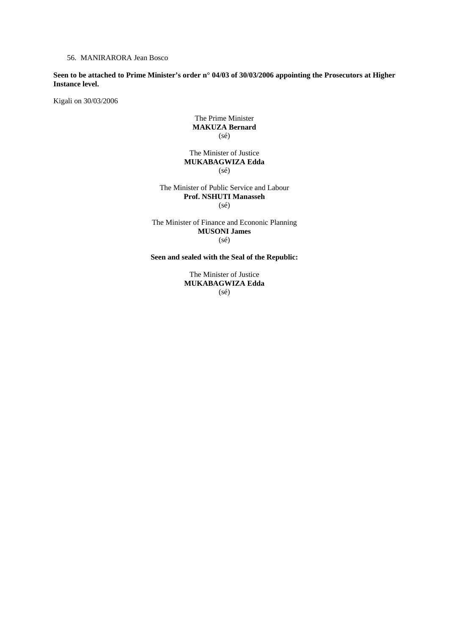56. MANIRARORA Jean Bosco

**Seen to be attached to Prime Minister's order n° 04/03 of 30/03/2006 appointing the Prosecutors at Higher Instance level.** 

Kigali on 30/03/2006

# The Prime Minister **MAKUZA Bernard**  (sé)

The Minister of Justice **MUKABAGWIZA Edda**  (sé)

The Minister of Public Service and Labour **Prof. NSHUTI Manasseh**   $(sé)$ 

The Minister of Finance and Econonic Planning **MUSONI James**   $(sé)$ 

**Seen and sealed with the Seal of the Republic:**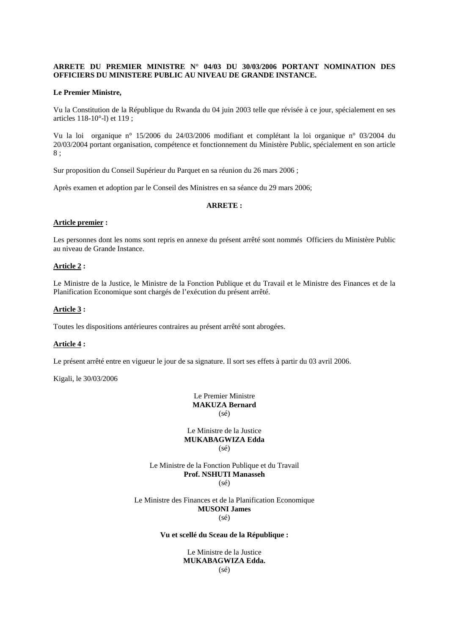# **ARRETE DU PREMIER MINISTRE N° 04/03 DU 30/03/2006 PORTANT NOMINATION DES OFFICIERS DU MINISTERE PUBLIC AU NIVEAU DE GRANDE INSTANCE.**

#### **Le Premier Ministre,**

Vu la Constitution de la République du Rwanda du 04 juin 2003 telle que révisée à ce jour, spécialement en ses articles 118-10°-l) et 119 ;

Vu la loi organique n° 15/2006 du 24/03/2006 modifiant et complétant la loi organique n° 03/2004 du 20/03/2004 portant organisation, compétence et fonctionnement du Ministère Public, spécialement en son article 8 ;

Sur proposition du Conseil Supérieur du Parquet en sa réunion du 26 mars 2006 ;

Après examen et adoption par le Conseil des Ministres en sa séance du 29 mars 2006;

## **ARRETE :**

#### **Article premier :**

Les personnes dont les noms sont repris en annexe du présent arrêté sont nommés Officiers du Ministère Public au niveau de Grande Instance.

## **Article 2 :**

Le Ministre de la Justice, le Ministre de la Fonction Publique et du Travail et le Ministre des Finances et de la Planification Economique sont chargés de l'exécution du présent arrêté.

## **Article 3 :**

Toutes les dispositions antérieures contraires au présent arrêté sont abrogées.

#### **Article 4 :**

Le présent arrêté entre en vigueur le jour de sa signature. Il sort ses effets à partir du 03 avril 2006.

Kigali, le 30/03/2006

Le Premier Ministre **MAKUZA Bernard**   $(sé)$ 

Le Ministre de la Justice **MUKABAGWIZA Edda**  (sé)

Le Ministre de la Fonction Publique et du Travail **Prof. NSHUTI Manasseh**   $(sé)$ 

Le Ministre des Finances et de la Planification Economique **MUSONI James** 

(sé)

#### **Vu et scellé du Sceau de la République :**

Le Ministre de la Justice **MUKABAGWIZA Edda.**  (sé)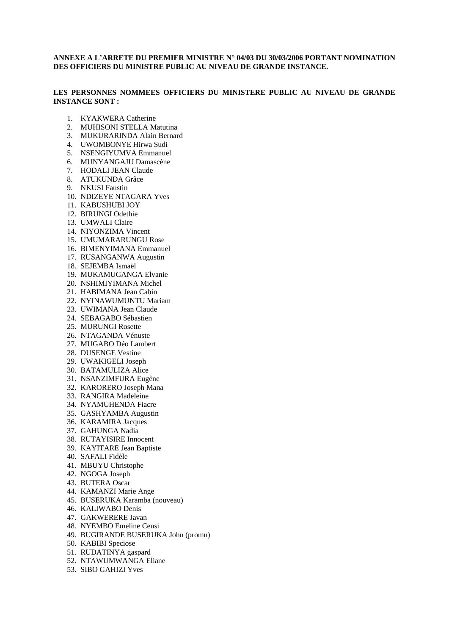# **ANNEXE A L'ARRETE DU PREMIER MINISTRE N° 04/03 DU 30/03/2006 PORTANT NOMINATION DES OFFICIERS DU MINISTRE PUBLIC AU NIVEAU DE GRANDE INSTANCE.**

# **LES PERSONNES NOMMEES OFFICIERS DU MINISTERE PUBLIC AU NIVEAU DE GRANDE INSTANCE SONT :**

- 1. KYAKWERA Catherine
- 2. MUHISONI STELLA Matutina
- 3. MUKURARINDA Alain Bernard
- 4. UWOMBONYE Hirwa Sudi
- 5. NSENGIYUMVA Emmanuel
- 6. MUNYANGAJU Damascène
- 7. HODALI JEAN Claude
- 8. ATUKUNDA Grâce
- 9. NKUSI Faustin
- 10. NDIZEYE NTAGARA Yves
- 11. KABUSHUBI JOY
- 12. BIRUNGI Odethie
- 13. UMWALI Claire
- 14. NIYONZIMA Vincent
- 15. UMUMARARUNGU Rose
- 16. BIMENYIMANA Emmanuel
- 17. RUSANGANWA Augustin
- 18. SEJEMBA Ismaël
- 19. MUKAMUGANGA Elvanie
- 20. NSHIMIYIMANA Michel
- 21. HABIMANA Jean Cabin
- 22. NYINAWUMUNTU Mariam
- 23. UWIMANA Jean Claude
- 24. SEBAGABO Sébastien
- 25. MURUNGI Rosette
- 26. NTAGANDA Vénuste
- 27. MUGABO Déo Lambert
- 28. DUSENGE Vestine
- 29. UWAKIGELI Joseph
- 30. BATAMULIZA Alice
- 31. NSANZIMFURA Eugène
- 32. KARORERO Joseph Mana
- 33. RANGIRA Madeleine
- 34. NYAMUHENDA Fiacre
- 35. GASHYAMBA Augustin
- 36. KARAMIRA Jacques
- 37. GAHUNGA Nadia
- 38. RUTAYISIRE Innocent
- 39. KAYITARE Jean Baptiste
- 40. SAFALI Fidèle
- 41. MBUYU Christophe
- 42. NGOGA Joseph
- 43. BUTERA Oscar
- 44. KAMANZI Marie Ange
- 45. BUSERUKA Karamba (nouveau)
- 46. KALIWABO Denis
- 47. GAKWERERE Javan
- 48. NYEMBO Emeline Ceusi
- 49. BUGIRANDE BUSERUKA John (promu)
- 50. KABIBI Speciose
- 51. RUDATINYA gaspard
- 52. NTAWUMWANGA Eliane
- 53. SIBO GAHIZI Yves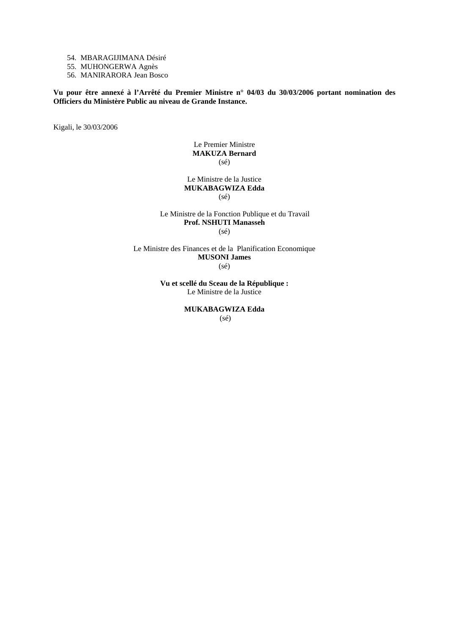54. MBARAGIJIMANA Désiré

55. MUHONGERWA Agnès

56. MANIRARORA Jean Bosco

**Vu pour être annexé à l'Arrêté du Premier Ministre n° 04/03 du 30/03/2006 portant nomination des Officiers du Ministère Public au niveau de Grande Instance.** 

Kigali, le 30/03/2006

# Le Premier Ministre **MAKUZA Bernard**   $(s\acute{e})$

## Le Ministre de la Justice **MUKABAGWIZA Edda**   $(s\acute{e})$

#### Le Ministre de la Fonction Publique et du Travail **Prof. NSHUTI Manasseh**   $(sé)$

Le Ministre des Finances et de la Planification Economique **MUSONI James**  (sé)

> **Vu et scellé du Sceau de la République :**  Le Ministre de la Justice

> > **MUKABAGWIZA Edda**  (sé)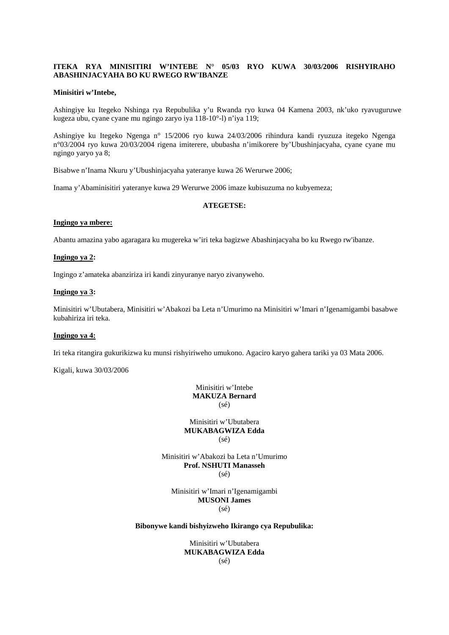# **ITEKA RYA MINISITIRI W'INTEBE N° 05/03 RYO KUWA 30/03/2006 RISHYIRAHO ABASHINJACYAHA BO KU RWEGO RW'IBANZE**

#### **Minisitiri w'Intebe,**

Ashingiye ku Itegeko Nshinga rya Repubulika y'u Rwanda ryo kuwa 04 Kamena 2003, nk'uko ryavuguruwe kugeza ubu, cyane cyane mu ngingo zaryo iya 118-10°-l) n'iya 119;

Ashingiye ku Itegeko Ngenga n° 15/2006 ryo kuwa 24/03/2006 rihindura kandi ryuzuza itegeko Ngenga n°03/2004 ryo kuwa 20/03/2004 rigena imiterere, ububasha n'imikorere by'Ubushinjacyaha, cyane cyane mu ngingo yaryo ya 8;

Bisabwe n'Inama Nkuru y'Ubushinjacyaha yateranye kuwa 26 Werurwe 2006;

Inama y'Abaminisitiri yateranye kuwa 29 Werurwe 2006 imaze kubisuzuma no kubyemeza;

## **ATEGETSE:**

#### **Ingingo ya mbere:**

Abantu amazina yabo agaragara ku mugereka w'iri teka bagizwe Abashinjacyaha bo ku Rwego rw'ibanze.

#### **Ingingo ya 2:**

Ingingo z'amateka abanziriza iri kandi zinyuranye naryo zivanyweho.

## **Ingingo ya 3:**

Minisitiri w'Ubutabera, Minisitiri w'Abakozi ba Leta n'Umurimo na Minisitiri w'Imari n'Igenamigambi basabwe kubahiriza iri teka.

#### **Ingingo ya 4:**

Iri teka ritangira gukurikizwa ku munsi rishyiriweho umukono. Agaciro karyo gahera tariki ya 03 Mata 2006.

Kigali, kuwa 30/03/2006

Minisitiri w'Intebe **MAKUZA Bernard**  (sé)

## Minisitiri w'Ubutabera **MUKABAGWIZA Edda**  (sé)

Minisitiri w'Abakozi ba Leta n'Umurimo **Prof. NSHUTI Manasseh**   $(sé)$ 

Minisitiri w'Imari n'Igenamigambi **MUSONI James**  (sé)

## **Bibonywe kandi bishyizweho Ikirango cya Repubulika:**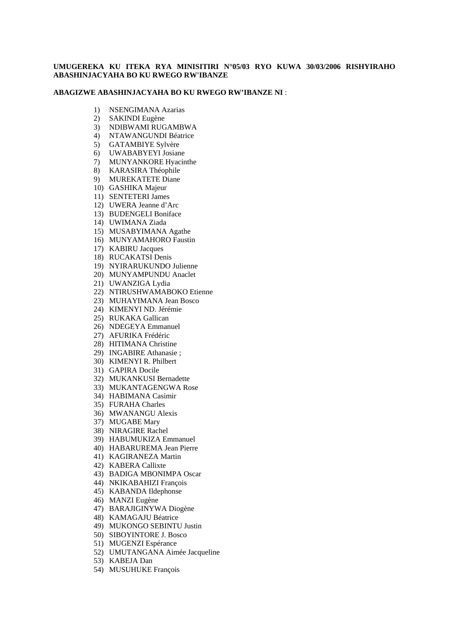# **UMUGEREKA KU ITEKA RYA MINISITIRI N°05/03 RYO KUWA 30/03/2006 RISHYIRAHO ABASHINJACYAHA BO KU RWEGO RW'IBANZE**

## **ABAGIZWE ABASHINJACYAHA BO KU RWEGO RW'IBANZE NI** :

- 1) NSENGIMANA Azarias
- 2) SAKINDI Eugène
- 3) NDIBWAMI RUGAMBWA
- 4) NTAWANGUNDI Béatrice
- 5) GATAMBIYE Sylvère
- 6) UWABABYEYI Josiane
- 7) MUNYANKORE Hyacinthe
- 8) KARASIRA Théophile
- 9) MUREKATETE Diane
- 10) GASHIKA Majeur
- 11) SENTETERI James
- 12) UWERA Jeanne d'Arc
- 13) BUDENGELI Boniface
- 14) UWIMANA Ziada
- 15) MUSABYIMANA Agathe
- 16) MUNYAMAHORO Faustin
- 17) KABIRU Jacques
- 18) RUCAKATSI Denis
- 19) NYIRARUKUNDO Julienne
- 20) MUNYAMPUNDU Anaclet
- 21) UWANZIGA Lydia
- 22) NTIRUSHWAMABOKO Etienne
- 23) MUHAYIMANA Jean Bosco
- 24) KIMENYI ND. Jérémie
- 25) RUKAKA Gallican
- 26) NDEGEYA Emmanuel
- 27) AFURIKA Frédéric
- 28) HITIMANA Christine
- 29) INGABIRE Athanasie ;
- 30) KIMENYI R. Philbert
- 31) GAPIRA Docile
- 32) MUKANKUSI Bernadette
- 33) MUKANTAGENGWA Rose
- 34) HABIMANA Casimir
- 35) FURAHA Charles
- 36) MWANANGU Alexis
- 37) MUGABE Mary
- 38) NIRAGIRE Rachel
- 39) HABUMUKIZA Emmanuel
- 40) HABARUREMA Jean Pierre
- 41) KAGIRANEZA Martin
- 42) KABERA Callixte
- 43) BADIGA MBONIMPA Oscar
- 44) NKIKABAHIZI François
- 45) KABANDA Ildephonse
- 46) MANZI Eugène
- 47) BARAJIGINYWA Diogène
- 48) KAMAGAJU Béatrice
- 49) MUKONGO SEBINTU Justin
- 50) SIBOYINTORE J. Bosco
- 51) MUGENZI Espérance
- 52) UMUTANGANA Aimée Jacqueline
- 53) KABEJA Dan
- 54) MUSUHUKE François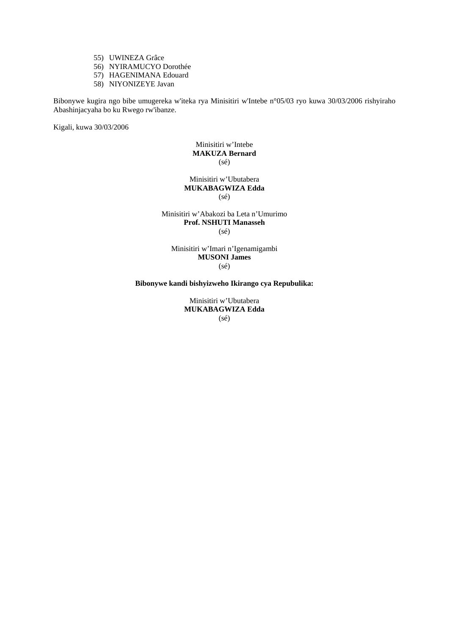- 55) UWINEZA Grâce
- 56) NYIRAMUCYO Dorothée
- 57) HAGENIMANA Edouard
- 58) NIYONIZEYE Javan

Bibonywe kugira ngo bibe umugereka w'iteka rya Minisitiri w'Intebe n°05/03 ryo kuwa 30/03/2006 rishyiraho Abashinjacyaha bo ku Rwego rw'ibanze.

Kigali, kuwa 30/03/2006

# Minisitiri w'Intebe **MAKUZA Bernard**   $(s\acute{e})$

## Minisitiri w'Ubutabera **MUKABAGWIZA Edda**   $(sé)$

#### Minisitiri w'Abakozi ba Leta n'Umurimo **Prof. NSHUTI Manasseh**   $(sé)$

Minisitiri w'Imari n'Igenamigambi **MUSONI James**  (sé)

**Bibonywe kandi bishyizweho Ikirango cya Repubulika:**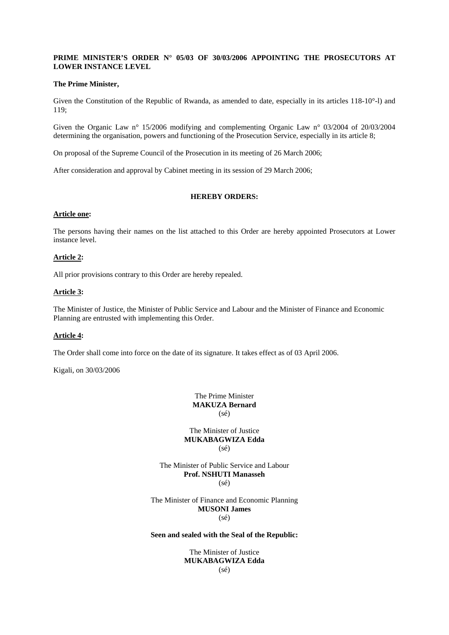# **PRIME MINISTER'S ORDER N° 05/03 OF 30/03/2006 APPOINTING THE PROSECUTORS AT LOWER INSTANCE LEVEL**

## **The Prime Minister,**

Given the Constitution of the Republic of Rwanda, as amended to date, especially in its articles 118-10°-l) and 119;

Given the Organic Law n° 15/2006 modifying and complementing Organic Law n° 03/2004 of 20/03/2004 determining the organisation, powers and functioning of the Prosecution Service, especially in its article 8;

On proposal of the Supreme Council of the Prosecution in its meeting of 26 March 2006;

After consideration and approval by Cabinet meeting in its session of 29 March 2006;

# **HEREBY ORDERS:**

#### **Article one:**

The persons having their names on the list attached to this Order are hereby appointed Prosecutors at Lower instance level.

# **Article 2:**

All prior provisions contrary to this Order are hereby repealed.

## **Article 3:**

The Minister of Justice, the Minister of Public Service and Labour and the Minister of Finance and Economic Planning are entrusted with implementing this Order.

#### **Article 4:**

The Order shall come into force on the date of its signature. It takes effect as of 03 April 2006.

Kigali, on 30/03/2006

The Prime Minister **MAKUZA Bernard**   $(sé)$ 

The Minister of Justice **MUKABAGWIZA Edda**   $(s\acute{e})$ 

The Minister of Public Service and Labour **Prof. NSHUTI Manasseh**   $(sé)$ 

The Minister of Finance and Economic Planning **MUSONI James**  (sé)

# **Seen and sealed with the Seal of the Republic:**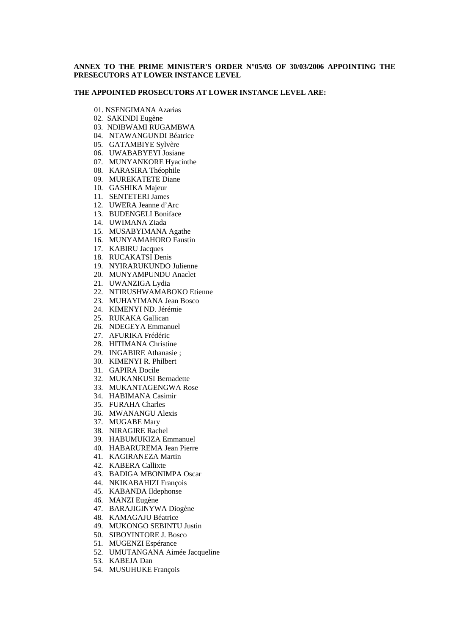# **ANNEX TO THE PRIME MINISTER'S ORDER N°05/03 OF 30/03/2006 APPOINTING THE PRESECUTORS AT LOWER INSTANCE LEVEL**

#### **THE APPOINTED PROSECUTORS AT LOWER INSTANCE LEVEL ARE:**

- 01. NSENGIMANA Azarias
- 02. SAKINDI Eugène
- 03. NDIBWAMI RUGAMBWA
- 04. NTAWANGUNDI Béatrice
- 05. GATAMBIYE Sylvère
- 06. UWABABYEYI Josiane
- 07. MUNYANKORE Hyacinthe
- 08. KARASIRA Théophile
- 09. MUREKATETE Diane
- 10. GASHIKA Majeur
- 11. SENTETERI James
- 12. UWERA Jeanne d'Arc
- 13. BUDENGELI Boniface
- 14. UWIMANA Ziada
- 15. MUSABYIMANA Agathe
- 16. MUNYAMAHORO Faustin
- 17. KABIRU Jacques
- 18. RUCAKATSI Denis
- 19. NYIRARUKUNDO Julienne
- 20. MUNYAMPUNDU Anaclet
- 21. UWANZIGA Lydia
- 22. NTIRUSHWAMABOKO Etienne
- 23. MUHAYIMANA Jean Bosco
- 24. KIMENYI ND. Jérémie
- 25. RUKAKA Gallican
- 26. NDEGEYA Emmanuel
- 27. AFURIKA Frédéric
- 28. HITIMANA Christine
- 29. INGABIRE Athanasie ;
- 30. KIMENYI R. Philbert
- 31. GAPIRA Docile
- 32. MUKANKUSI Bernadette
- 33. MUKANTAGENGWA Rose
- 34. HABIMANA Casimir
- 35. FURAHA Charles
- 36. MWANANGU Alexis
- 37. MUGABE Mary
- 38. NIRAGIRE Rachel
- 39. HABUMUKIZA Emmanuel
- 40. HABARUREMA Jean Pierre
- 41. KAGIRANEZA Martin
- 42. KABERA Callixte
- 43. BADIGA MBONIMPA Oscar
- 44. NKIKABAHIZI François
- 45. KABANDA Ildephonse
- 46. MANZI Eugène
- 47. BARAJIGINYWA Diogène
- 48. KAMAGAJU Béatrice
- 49. MUKONGO SEBINTU Justin
- 50. SIBOYINTORE J. Bosco
- 51. MUGENZI Espérance
- 52. UMUTANGANA Aimée Jacqueline
- 53. KABEJA Dan
- 54. MUSUHUKE François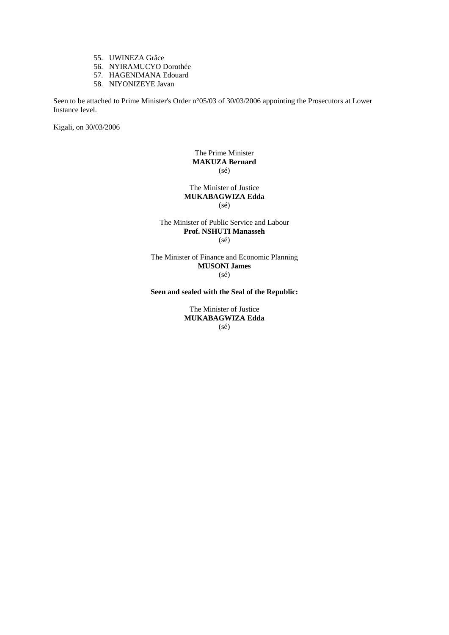- 55. UWINEZA Grâce
- 56. NYIRAMUCYO Dorothée
- 57. HAGENIMANA Edouard
- 58. NIYONIZEYE Javan

Seen to be attached to Prime Minister's Order n°05/03 of 30/03/2006 appointing the Prosecutors at Lower Instance level.

Kigali, on 30/03/2006

# The Prime Minister **MAKUZA Bernard**  (sé)

The Minister of Justice **MUKABAGWIZA Edda**   $(sé)$ 

# The Minister of Public Service and Labour **Prof. NSHUTI Manasseh**  (sé)

The Minister of Finance and Economic Planning **MUSONI James**  (sé)

**Seen and sealed with the Seal of the Republic:**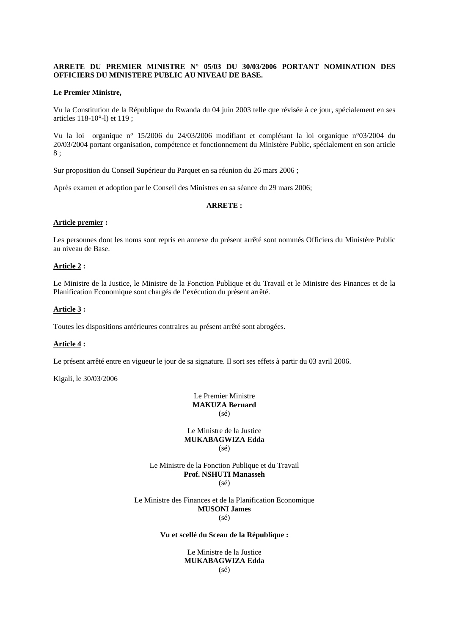# **ARRETE DU PREMIER MINISTRE N° 05/03 DU 30/03/2006 PORTANT NOMINATION DES OFFICIERS DU MINISTERE PUBLIC AU NIVEAU DE BASE.**

#### **Le Premier Ministre,**

Vu la Constitution de la République du Rwanda du 04 juin 2003 telle que révisée à ce jour, spécialement en ses articles 118-10°-l) et 119 ;

Vu la loi organique n° 15/2006 du 24/03/2006 modifiant et complétant la loi organique n°03/2004 du 20/03/2004 portant organisation, compétence et fonctionnement du Ministère Public, spécialement en son article 8 ;

Sur proposition du Conseil Supérieur du Parquet en sa réunion du 26 mars 2006 ;

Après examen et adoption par le Conseil des Ministres en sa séance du 29 mars 2006;

## **ARRETE :**

#### **Article premier :**

Les personnes dont les noms sont repris en annexe du présent arrêté sont nommés Officiers du Ministère Public au niveau de Base.

## **Article 2 :**

Le Ministre de la Justice, le Ministre de la Fonction Publique et du Travail et le Ministre des Finances et de la Planification Economique sont chargés de l'exécution du présent arrêté.

# **Article 3 :**

Toutes les dispositions antérieures contraires au présent arrêté sont abrogées.

#### **Article 4 :**

Le présent arrêté entre en vigueur le jour de sa signature. Il sort ses effets à partir du 03 avril 2006.

Kigali, le 30/03/2006

Le Premier Ministre **MAKUZA Bernard**   $(sé)$ 

Le Ministre de la Justice **MUKABAGWIZA Edda**  (sé)

Le Ministre de la Fonction Publique et du Travail **Prof. NSHUTI Manasseh**   $(sé)$ 

Le Ministre des Finances et de la Planification Economique **MUSONI James** 

(sé)

#### **Vu et scellé du Sceau de la République :**

Le Ministre de la Justice **MUKABAGWIZA Edda**  (sé)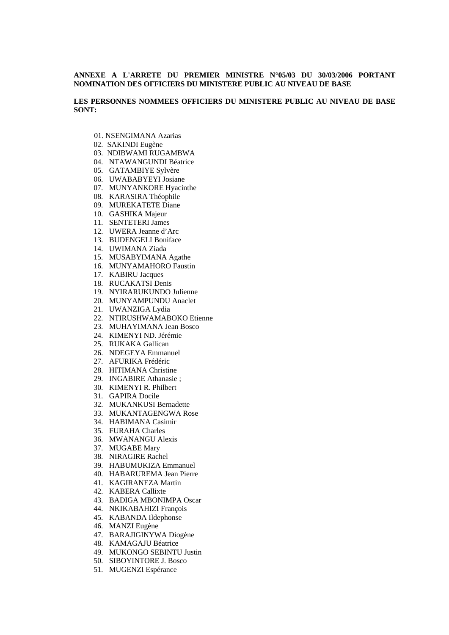# **ANNEXE A L'ARRETE DU PREMIER MINISTRE N°05/03 DU 30/03/2006 PORTANT NOMINATION DES OFFICIERS DU MINISTERE PUBLIC AU NIVEAU DE BASE**

**LES PERSONNES NOMMEES OFFICIERS DU MINISTERE PUBLIC AU NIVEAU DE BASE SONT:** 

- 01. NSENGIMANA Azarias
- 02. SAKINDI Eugène
- 03. NDIBWAMI RUGAMBWA
- 04. NTAWANGUNDI Béatrice
- 05. GATAMBIYE Sylvère
- 06. UWABABYEYI Josiane
- 07. MUNYANKORE Hyacinthe
- 08. KARASIRA Théophile
- 09. MUREKATETE Diane
- 10. GASHIKA Majeur
- 11. SENTETERI James
- 12. UWERA Jeanne d'Arc
- 13. BUDENGELI Boniface
- 14. UWIMANA Ziada
- 15. MUSABYIMANA Agathe
- 16. MUNYAMAHORO Faustin
- 17. KABIRU Jacques
- 18. RUCAKATSI Denis
- 19. NYIRARUKUNDO Julienne
- 20. MUNYAMPUNDU Anaclet
- 21. UWANZIGA Lydia
- 22. NTIRUSHWAMABOKO Etienne
- 23. MUHAYIMANA Jean Bosco
- 24. KIMENYI ND. Jérémie
- 25. RUKAKA Gallican
- 26. NDEGEYA Emmanuel
- 27. AFURIKA Frédéric
- 28. HITIMANA Christine
- 29. INGABIRE Athanasie ;
- 30. KIMENYI R. Philbert
- 31. GAPIRA Docile
- 32. MUKANKUSI Bernadette
- 33. MUKANTAGENGWA Rose
- 34. HABIMANA Casimir
- 35. FURAHA Charles
- 36. MWANANGU Alexis
- 37. MUGABE Mary
- 38. NIRAGIRE Rachel
- 39. HABUMUKIZA Emmanuel
- 40. HABARUREMA Jean Pierre
- 41. KAGIRANEZA Martin
- 42. KABERA Callixte
- 43. BADIGA MBONIMPA Oscar
- 44. NKIKABAHIZI François
- 45. KABANDA Ildephonse
- 46. MANZI Eugène
- 47. BARAJIGINYWA Diogène
- 48. KAMAGAJU Béatrice
- 49. MUKONGO SEBINTU Justin
- 50. SIBOYINTORE J. Bosco
- 51. MUGENZI Espérance